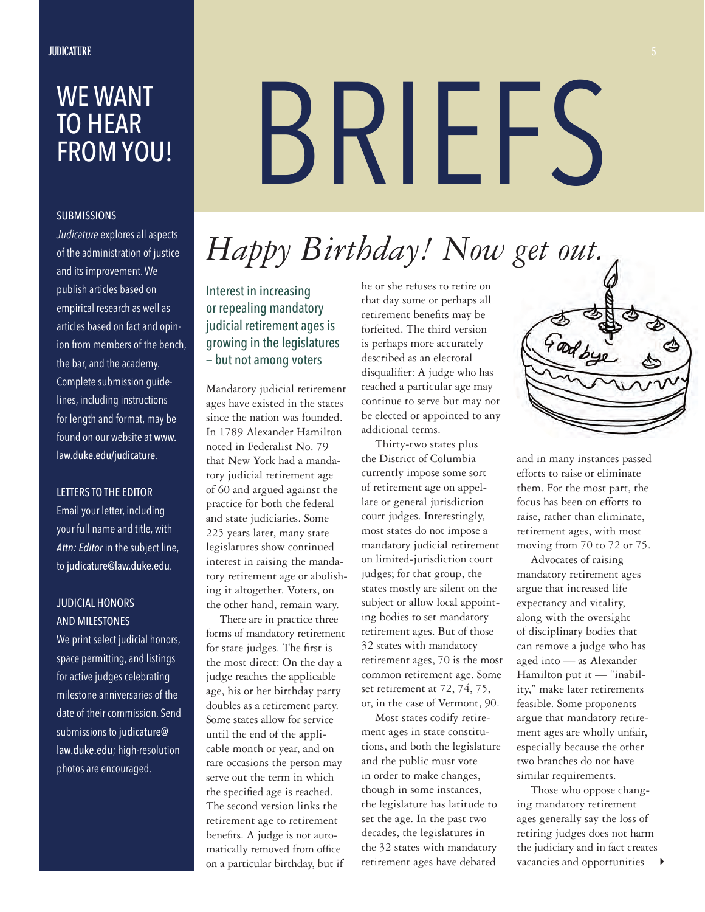# WE WANT TO HEAR FROM YOU!

# **SUBMISSIONS**

*Judicature* explores all aspects of the administration of justice and its improvement. We publish articles based on empirical research as well as articles based on fact and opinion from members of the bench, the bar, and the academy. Complete submission guidelines, including instructions for length and format, may be found on our website at www. law.duke.edu/judicature.

### LETTERS TO THE EDITOR

Email your letter, including your full name and title, with *Attn: Editor* in the subject line, to judicature@law.duke.edu.

# JUDICIAL HONORS AND MILESTONES

We print select judicial honors, space permitting, and listings for active judges celebrating milestone anniversaries of the date of their commission. Send submissions to judicature@ law.duke.edu; high-resolution photos are encouraged.

# BRIEFS

# *Happy Birthday! Now get out.*

Interest in increasing or repealing mandatory judicial retirement ages is growing in the legislatures — but not among voters

Mandatory judicial retirement ages have existed in the states since the nation was founded. In 1789 Alexander Hamilton noted in Federalist No. 79 that New York had a mandatory judicial retirement age of 60 and argued against the practice for both the federal and state judiciaries. Some 225 years later, many state legislatures show continued interest in raising the mandatory retirement age or abolishing it altogether. Voters, on the other hand, remain wary.

There are in practice three forms of mandatory retirement for state judges. The first is the most direct: On the day a judge reaches the applicable age, his or her birthday party doubles as a retirement party. Some states allow for service until the end of the applicable month or year, and on rare occasions the person may serve out the term in which the specified age is reached. The second version links the retirement age to retirement benefits. A judge is not automatically removed from office on a particular birthday, but if

he or she refuses to retire on that day some or perhaps all retirement benefits may be forfeited. The third version is perhaps more accurately described as an electoral disqualifier: A judge who has reached a particular age may continue to serve but may not be elected or appointed to any additional terms.

Thirty-two states plus the District of Columbia currently impose some sort of retirement age on appellate or general jurisdiction court judges. Interestingly, most states do not impose a mandatory judicial retirement on limited-jurisdiction court judges; for that group, the states mostly are silent on the subject or allow local appointing bodies to set mandatory retirement ages. But of those 32 states with mandatory retirement ages, 70 is the most common retirement age. Some set retirement at 72, 74, 75, or, in the case of Vermont, 90.

Most states codify retirement ages in state constitutions, and both the legislature and the public must vote in order to make changes, though in some instances, the legislature has latitude to set the age. In the past two decades, the legislatures in the 32 states with mandatory retirement ages have debated



and in many instances passed efforts to raise or eliminate them. For the most part, the focus has been on efforts to raise, rather than eliminate, retirement ages, with most moving from 70 to 72 or 75.

Advocates of raising mandatory retirement ages argue that increased life expectancy and vitality, along with the oversight of disciplinary bodies that can remove a judge who has aged into — as Alexander Hamilton put it — "inability," make later retirements feasible. Some proponents argue that mandatory retirement ages are wholly unfair, especially because the other two branches do not have similar requirements.

Those who oppose changing mandatory retirement ages generally say the loss of retiring judges does not harm the judiciary and in fact creates vacancies and opportunities  $\rightarrow$